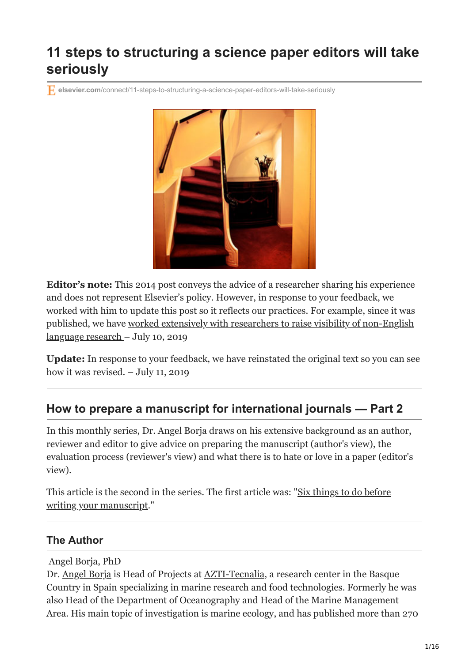# **11 steps to structuring a science paper editors will take seriously**

**elsevier.com**[/connect/11-steps-to-structuring-a-science-paper-editors-will-take-seriously](https://www.elsevier.com/connect/11-steps-to-structuring-a-science-paper-editors-will-take-seriously)



**Editor's note:** This 2014 post conveys the advice of a researcher sharing his experience and does not represent Elsevier's policy. However, in response to your feedback, we worked with him to update this post so it reflects our practices. For example, since it was [published, we have worked extensively with researchers to raise visibility of non-English](https://www.elsevier.com/connect/raising-the-global-visibility-of-local-research) language research – July 10, 2019

**Update:** In response to your feedback, we have reinstated the original text so you can see how it was revised. – July 11, 2019

### **How to prepare a manuscript for international journals — Part 2**

In this monthly series, Dr. Angel Borja draws on his extensive background as an author, reviewer and editor to give advice on preparing the manuscript (author's view), the evaluation process (reviewer's view) and what there is to hate or love in a paper (editor's view).

[This article is the second in the series. The first article was: "Six things to do before](https://www.elsevier.com/connect/six-things-to-do-before-writing-your-manuscript) writing your manuscript."

### **The Author**

Angel Borja, PhD

Dr. [Angel Borja](http://www.linkedin.com/pub/angel-borja-yerro/6a/b7/132) is Head of Projects at [AZTI-Tecnalia,](http://www.azti.es/) a research center in the Basque Country in Spain specializing in marine research and food technologies. Formerly he was also Head of the Department of Oceanography and Head of the Marine Management Area. His main topic of investigation is marine ecology, and has published more than 270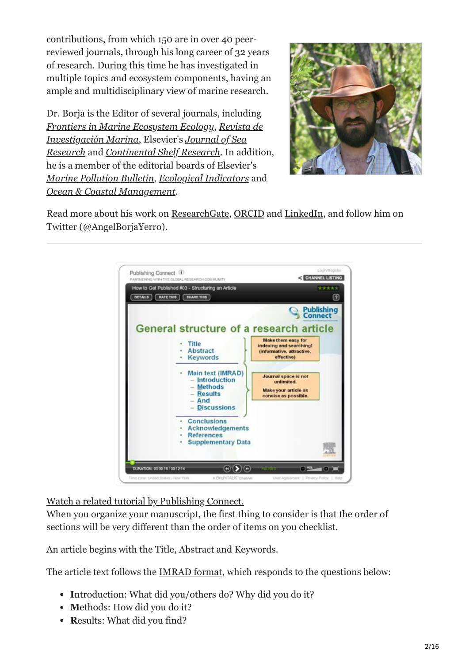contributions, from which 150 are in over 40 peerreviewed journals, through his long career of 32 years of research. During this time he has investigated in multiple topics and ecosystem components, having an ample and multidisciplinary view of marine research.

Dr. Borja is the Editor of several journals, including *[Frontiers in Marine Ecosystem Ecology](http://www.frontiersin.org/Marine_Ecosystem_Ecology/about)*, *Revista de Investigación Marina*, Elsevier's *Journal of Sea Research* and *[Continental Shelf Research](http://www.journals.elsevier.com/journal-of-sea-research)*. In addition, he is a member of the editorial boards of Elsevier's *[Marine Pollution Bulletin](http://www.journals.elsevier.com/marine-pollution-bulletin)*, *[Ecological Indicators](http://www.journals.elsevier.com/ecological-indicators)* and *[Ocean & Coastal Management](http://www.journals.elsevier.com/ocean-and-coastal-management)*.



Read more about his work on [ResearchGate,](https://www.researchgate.net/profile/Angel_Borja) [ORCID](http://orcid.org/0000-0003-1601-2025) and [LinkedIn](http://www.linkedin.com/pub/angel-borja-yerro/6a/b7/132), and follow him on Twitter [\(@AngelBorjaYerro](https://twitter.com/AngelBorjaYerro)).



[Watch a related tutorial by Publishing Connect.](https://www.publishingcampus.elsevier.com/pages/14/Colleges/College-of-Skill-training/Writing-for-books-and-journals.html)

When you organize your manuscript, the first thing to consider is that the order of sections will be very different than the order of items on you checklist.

An article begins with the Title, Abstract and Keywords.

The article text follows the [IMRAD format](http://en.wikipedia.org/wiki/IMRAD), which responds to the questions below:

- Introduction: What did you/others do? Why did you do it?
- Methods: How did you do it?
- Results: What did you find?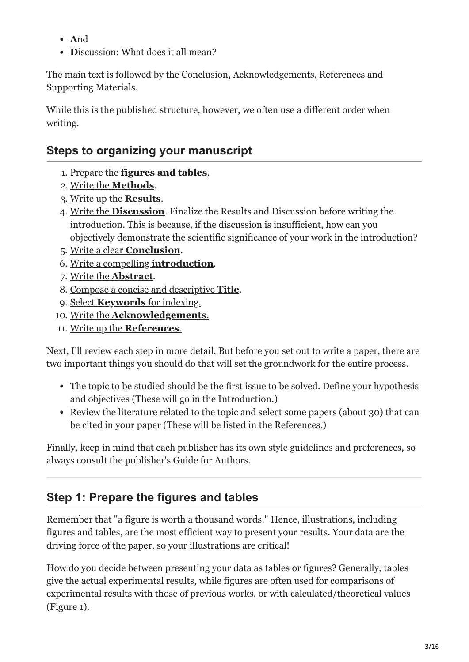- **A**nd
- **Discussion:** What does it all mean?

The main text is followed by the Conclusion, Acknowledgements, References and Supporting Materials.

While this is the published structure, however, we often use a different order when writing.

### **Steps to organizing your manuscript**

- 1. Prepare the **[figures and tables](#page-2-0)**.
- 2. Write the **[Methods](#page-7-0)**.
- 3. [Write up the](#page-8-0) **Results**.
- 4. Write the **[Discussion](#page-9-0)**. Finalize the Results and Discussion before writing the introduction. This is because, if the discussion is insufficient, how can you objectively demonstrate the scientific significance of your work in the introduction?
- 5. Write a clear **[Conclusion](#page-10-0)**.
- 6. [Write a compelling](#page-10-1) **introduction**.
- 7. [Write the](#page-11-0) **Abstract**.
- 8. [Compose a concise and descriptive](#page-12-0) **Title**.
- 9. Select **Keywords** [for indexing.](#page-13-0)
- 10. Write the **[Acknowledgements](#page-13-1)**.
- 11. [Write up the](#page-14-0) **References**.

Next, I'll review each step in more detail. But before you set out to write a paper, there are two important things you should do that will set the groundwork for the entire process.

- The topic to be studied should be the first issue to be solved. Define your hypothesis and objectives (These will go in the Introduction.)
- Review the literature related to the topic and select some papers (about 30) that can be cited in your paper (These will be listed in the References.)

Finally, keep in mind that each publisher has its own style guidelines and preferences, so always consult the publisher's Guide for Authors.

## <span id="page-2-0"></span>**Step 1: Prepare the figures and tables**

Remember that "a figure is worth a thousand words." Hence, illustrations, including figures and tables, are the most efficient way to present your results. Your data are the driving force of the paper, so your illustrations are critical!

How do you decide between presenting your data as tables or figures? Generally, tables give the actual experimental results, while figures are often used for comparisons of experimental results with those of previous works, or with calculated/theoretical values (Figure 1).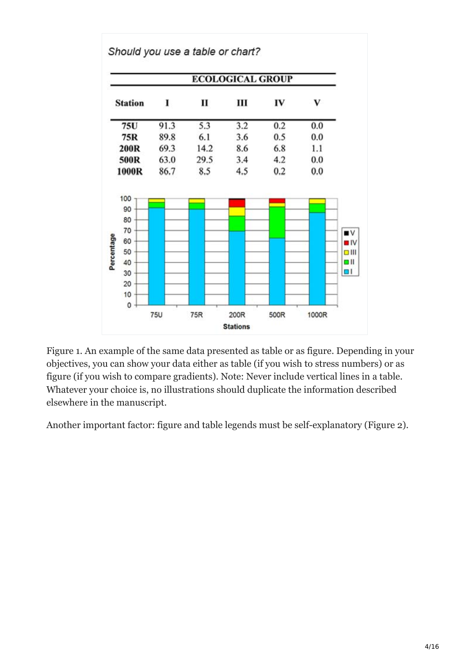

Figure 1. An example of the same data presented as table or as figure. Depending in your objectives, you can show your data either as table (if you wish to stress numbers) or as figure (if you wish to compare gradients). Note: Never include vertical lines in a table. Whatever your choice is, no illustrations should duplicate the information described elsewhere in the manuscript.

Another important factor: figure and table legends must be self-explanatory (Figure 2).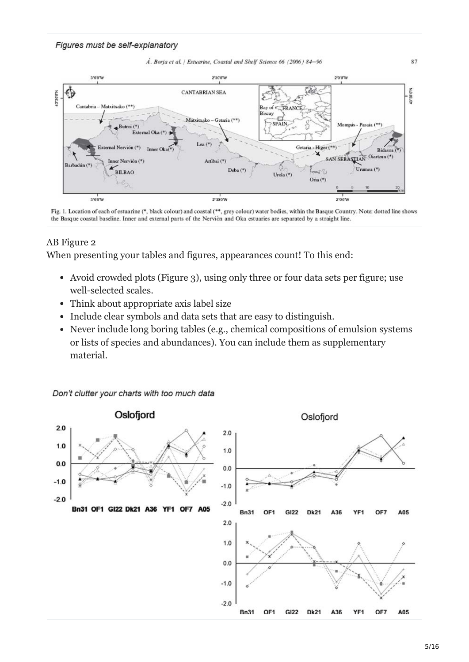

Fig. 1. Location of each of estuarine (\*, black colour) and coastal (\*\*, grey colour) water bodies, within the Basque Country. Note: dotted line shows the Basque coastal baseline. Inner and external parts of the Nervión and Oka estuaries are separated by a straight line.

### AB Figure 2

When presenting your tables and figures, appearances count! To this end:

- Avoid crowded plots (Figure 3), using only three or four data sets per figure; use well-selected scales.
- Think about appropriate axis label size
- Include clear symbols and data sets that are easy to distinguish.
- Never include long boring tables (e.g., chemical compositions of emulsion systems or lists of species and abundances). You can include them as supplementary material.



5/16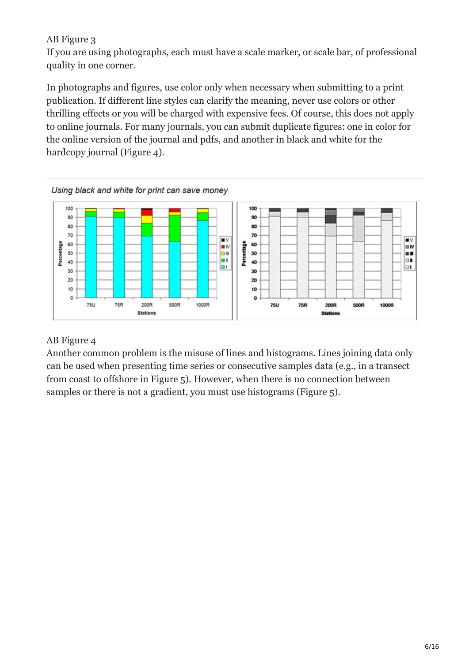#### AB Figure 3

If you are using photographs, each must have a scale marker, or scale bar, of professional quality in one corner.

In photographs and figures, use color only when necessary when submitting to a print publication. If different line styles can clarify the meaning, never use colors or other thrilling effects or you will be charged with expensive fees. Of course, this does not apply to online journals. For many journals, you can submit duplicate figures: one in color for the online version of the journal and pdfs, and another in black and white for the hardcopy journal (Figure 4).



### AB Figure 4

Another common problem is the misuse of lines and histograms. Lines joining data only can be used when presenting time series or consecutive samples data (e.g., in a transect from coast to offshore in Figure 5). However, when there is no connection between samples or there is not a gradient, you must use histograms (Figure 5).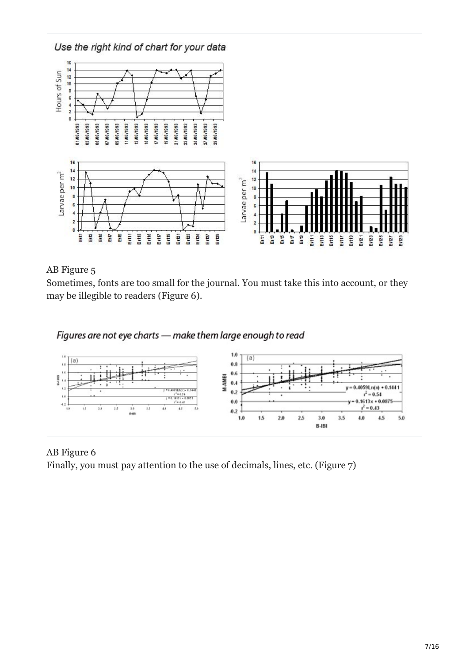

### AB Figure 5

Sometimes, fonts are too small for the journal. You must take this into account, or they may be illegible to readers (Figure 6).



### AB Figure 6

Finally, you must pay attention to the use of decimals, lines, etc. (Figure 7)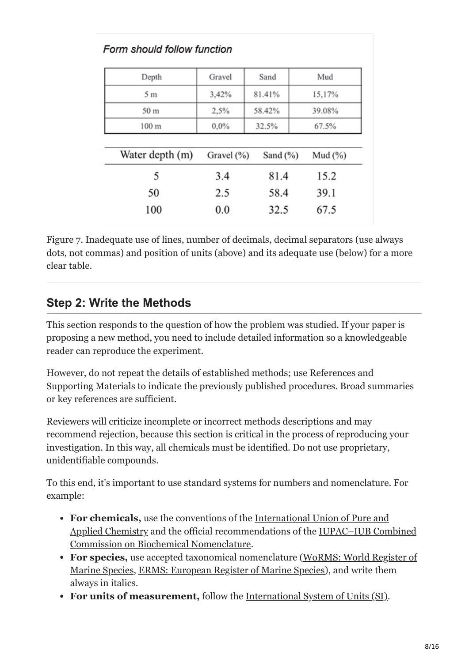| Depth           | Gravel     | Sand        | Mud        |
|-----------------|------------|-------------|------------|
| 5 <sub>m</sub>  | 3,42%      | 81.41%      | 15,17%     |
| 50 m            | 2,5%       | 58.42%      | 39.08%     |
| 100 m           | 0,0%       | 32.5%       | 67.5%      |
| Water depth (m) | Gravel (%) | Sand $(\%)$ | Mud $(\%)$ |
| 5               | 3.4        | 81.4        | 15.2       |
|                 |            |             |            |
| 50              | 2.5        | 58.4        | 39.1       |

Figure 7. Inadequate use of lines, number of decimals, decimal separators (use always dots, not commas) and position of units (above) and its adequate use (below) for a more clear table.

# <span id="page-7-0"></span>**Step 2: Write the Methods**

This section responds to the question of how the problem was studied. If your paper is proposing a new method, you need to include detailed information so a knowledgeable reader can reproduce the experiment.

However, do not repeat the details of established methods; use References and Supporting Materials to indicate the previously published procedures. Broad summaries or key references are sufficient.

Reviewers will criticize incomplete or incorrect methods descriptions and may recommend rejection, because this section is critical in the process of reproducing your investigation. In this way, all chemicals must be identified. Do not use proprietary, unidentifiable compounds.

To this end, it's important to use standard systems for numbers and nomenclature. For example:

- **For chemicals,** use the conventions of the International Union of Pure and [Applied Chemistry and the official recommendations of the IUPAC–IUB Co](http://www.iupac.org/)[mbined](http://www.jbc.org/content/241/3/527.full.pdf) Commission on Biochemical Nomenclature.
- **For species,** use accepted taxonomical nomenclature (WoRMS: World Register of [Marine Species, ERMS: European Register of Marine Species\), and write them](http://www.marinespecies.org/) always in italics.
- **For units of measurement,** follow the [International System of Units \(SI\)](http://physics.nist.gov/Pubs/SP330/sp330.pdf).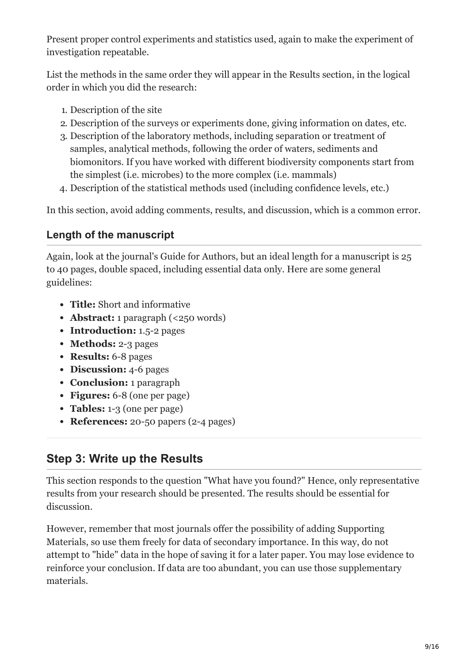Present proper control experiments and statistics used, again to make the experiment of investigation repeatable.

List the methods in the same order they will appear in the Results section, in the logical order in which you did the research:

- 1. Description of the site
- 2. Description of the surveys or experiments done, giving information on dates, etc.
- 3. Description of the laboratory methods, including separation or treatment of samples, analytical methods, following the order of waters, sediments and biomonitors. If you have worked with different biodiversity components start from the simplest (i.e. microbes) to the more complex (i.e. mammals)
- 4. Description of the statistical methods used (including confidence levels, etc.)

In this section, avoid adding comments, results, and discussion, which is a common error.

### **Length of the manuscript**

Again, look at the journal's Guide for Authors, but an ideal length for a manuscript is 25 to 40 pages, double spaced, including essential data only. Here are some general guidelines:

- **Title:** Short and informative
- **Abstract:** 1 paragraph (<250 words)
- **Introduction:** 1.5-2 pages
- **Methods: 2-3 pages**
- **Results:** 6-8 pages
- **Discussion:** 4-6 pages
- **Conclusion:** 1 paragraph
- **Figures:** 6-8 (one per page)
- **Tables:** 1-3 (one per page)
- **References:** 20-50 papers (2-4 pages)

## <span id="page-8-0"></span>**Step 3: Write up the Results**

This section responds to the question "What have you found?" Hence, only representative results from your research should be presented. The results should be essential for discussion.

However, remember that most journals offer the possibility of adding Supporting Materials, so use them freely for data of secondary importance. In this way, do not attempt to "hide" data in the hope of saving it for a later paper. You may lose evidence to reinforce your conclusion. If data are too abundant, you can use those supplementary materials.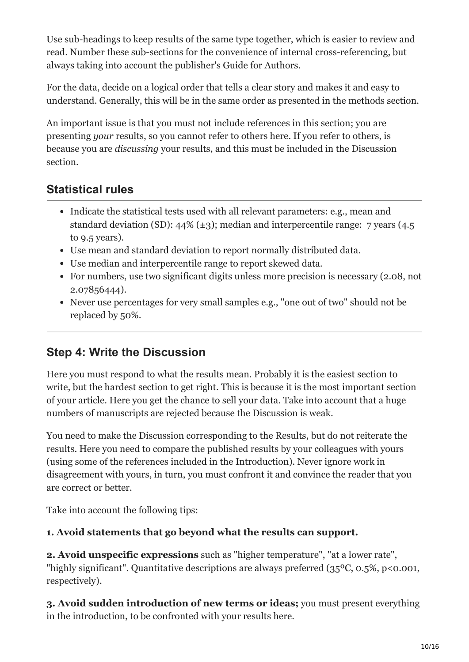Use sub-headings to keep results of the same type together, which is easier to review and read. Number these sub-sections for the convenience of internal cross-referencing, but always taking into account the publisher's Guide for Authors.

For the data, decide on a logical order that tells a clear story and makes it and easy to understand. Generally, this will be in the same order as presented in the methods section.

An important issue is that you must not include references in this section; you are presenting *your* results, so you cannot refer to others here. If you refer to others, is because you are *discussing* your results, and this must be included in the Discussion section.

# **Statistical rules**

- Indicate the statistical tests used with all relevant parameters: e.g., mean and standard deviation (SD):  $44\%$  ( $\pm$ 3); median and interpercentile range: 7 years (4.5) to 9.5 years).
- Use mean and standard deviation to report normally distributed data.
- Use median and interpercentile range to report skewed data.
- For numbers, use two significant digits unless more precision is necessary (2.08, not 2.07856444).
- Never use percentages for very small samples e.g., "one out of two" should not be replaced by 50%.

# <span id="page-9-0"></span>**Step 4: Write the Discussion**

Here you must respond to what the results mean. Probably it is the easiest section to write, but the hardest section to get right. This is because it is the most important section of your article. Here you get the chance to sell your data. Take into account that a huge numbers of manuscripts are rejected because the Discussion is weak.

You need to make the Discussion corresponding to the Results, but do not reiterate the results. Here you need to compare the published results by your colleagues with yours (using some of the references included in the Introduction). Never ignore work in disagreement with yours, in turn, you must confront it and convince the reader that you are correct or better.

Take into account the following tips:

### **1. Avoid statements that go beyond what the results can support.**

**2. Avoid unspecific expressions** such as "higher temperature", "at a lower rate", "highly significant". Quantitative descriptions are always preferred (35ºC, 0.5%, p<0.001, respectively).

**3. Avoid sudden introduction of new terms or ideas;** you must present everything in the introduction, to be confronted with your results here.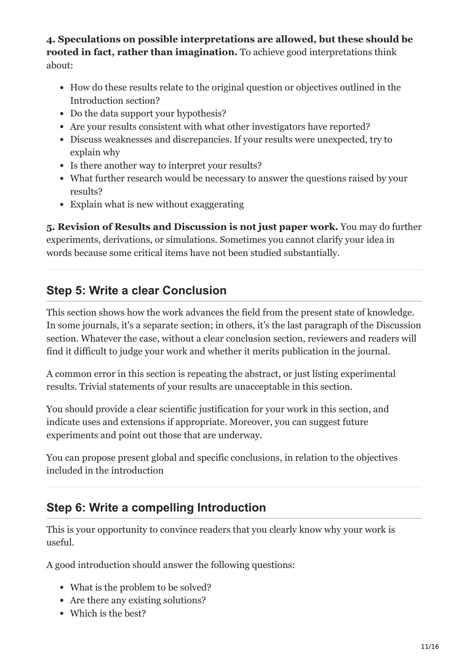**4. Speculations on possible interpretations are allowed, but these should be rooted in fact, rather than imagination.** To achieve good interpretations think about:

- How do these results relate to the original question or objectives outlined in the Introduction section?
- Do the data support your hypothesis?
- Are your results consistent with what other investigators have reported?
- Discuss weaknesses and discrepancies. If your results were unexpected, try to explain why
- Is there another way to interpret your results?
- What further research would be necessary to answer the questions raised by your results?
- Explain what is new without exaggerating

**5. Revision of Results and Discussion is not just paper work.** You may do further experiments, derivations, or simulations. Sometimes you cannot clarify your idea in words because some critical items have not been studied substantially.

## <span id="page-10-0"></span>**Step 5: Write a clear Conclusion**

This section shows how the work advances the field from the present state of knowledge. In some journals, it's a separate section; in others, it's the last paragraph of the Discussion section. Whatever the case, without a clear conclusion section, reviewers and readers will find it difficult to judge your work and whether it merits publication in the journal.

A common error in this section is repeating the abstract, or just listing experimental results. Trivial statements of your results are unacceptable in this section.

You should provide a clear scientific justification for your work in this section, and indicate uses and extensions if appropriate. Moreover, you can suggest future experiments and point out those that are underway.

You can propose present global and specific conclusions, in relation to the objectives included in the introduction

## <span id="page-10-1"></span>**Step 6: Write a compelling Introduction**

This is your opportunity to convince readers that you clearly know why your work is useful.

A good introduction should answer the following questions:

- What is the problem to be solved?
- Are there any existing solutions?
- Which is the best?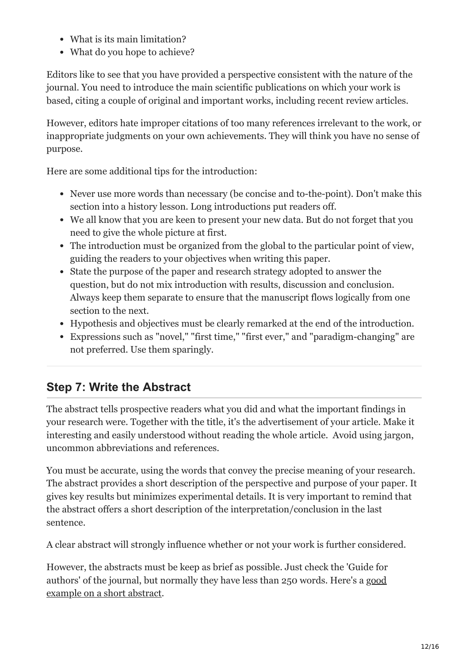- What is its main limitation?
- What do you hope to achieve?

Editors like to see that you have provided a perspective consistent with the nature of the journal. You need to introduce the main scientific publications on which your work is based, citing a couple of original and important works, including recent review articles.

However, editors hate improper citations of too many references irrelevant to the work, or inappropriate judgments on your own achievements. They will think you have no sense of purpose.

Here are some additional tips for the introduction:

- Never use more words than necessary (be concise and to-the-point). Don't make this section into a history lesson. Long introductions put readers off.
- We all know that you are keen to present your new data. But do not forget that you need to give the whole picture at first.
- The introduction must be organized from the global to the particular point of view, guiding the readers to your objectives when writing this paper.
- State the purpose of the paper and research strategy adopted to answer the question, but do not mix introduction with results, discussion and conclusion. Always keep them separate to ensure that the manuscript flows logically from one section to the next.
- Hypothesis and objectives must be clearly remarked at the end of the introduction.
- Expressions such as "novel," "first time," "first ever," and "paradigm-changing" are not preferred. Use them sparingly.

# <span id="page-11-0"></span>**Step 7: Write the Abstract**

The abstract tells prospective readers what you did and what the important findings in your research were. Together with the title, it's the advertisement of your article. Make it interesting and easily understood without reading the whole article. Avoid using jargon, uncommon abbreviations and references.

You must be accurate, using the words that convey the precise meaning of your research. The abstract provides a short description of the perspective and purpose of your paper. It gives key results but minimizes experimental details. It is very important to remind that the abstract offers a short description of the interpretation/conclusion in the last sentence.

A clear abstract will strongly influence whether or not your work is further considered.

However, the abstracts must be keep as brief as possible. Just check the 'Guide for [authors' of the journal, but normally they have less than 250 words. Here's a good](http://www.sciencedirect.com/science/article/pii/S0272771406005361) example on a short abstract.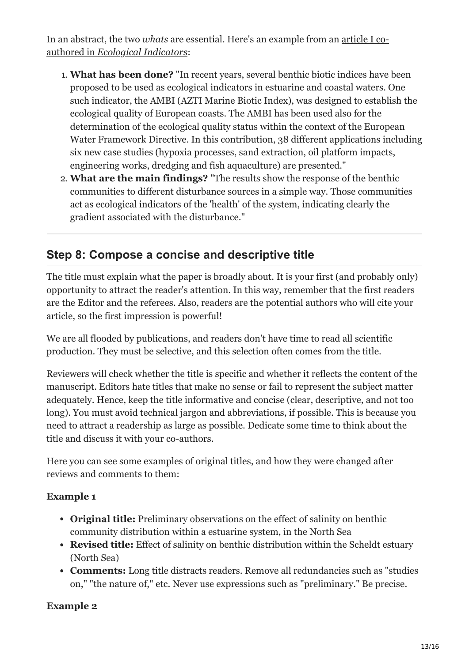In an abstract, the two *whats* [are essential. Here's an example from an article I co](http://www.sciencedirect.com/science/article/pii/S1470160X04000597)authored in *Ecological Indicators*:

- 1. **What has been done?** "In recent years, several benthic biotic indices have been proposed to be used as ecological indicators in estuarine and coastal waters. One such indicator, the AMBI (AZTI Marine Biotic Index), was designed to establish the ecological quality of European coasts. The AMBI has been used also for the determination of the ecological quality status within the context of the European Water Framework Directive. In this contribution, 38 different applications including six new case studies (hypoxia processes, sand extraction, oil platform impacts, engineering works, dredging and fish aquaculture) are presented."
- 2. **What are the main findings?** "The results show the response of the benthic communities to different disturbance sources in a simple way. Those communities act as ecological indicators of the 'health' of the system, indicating clearly the gradient associated with the disturbance."

## <span id="page-12-0"></span>**Step 8: Compose a concise and descriptive title**

The title must explain what the paper is broadly about. It is your first (and probably only) opportunity to attract the reader's attention. In this way, remember that the first readers are the Editor and the referees. Also, readers are the potential authors who will cite your article, so the first impression is powerful!

We are all flooded by publications, and readers don't have time to read all scientific production. They must be selective, and this selection often comes from the title.

Reviewers will check whether the title is specific and whether it reflects the content of the manuscript. Editors hate titles that make no sense or fail to represent the subject matter adequately. Hence, keep the title informative and concise (clear, descriptive, and not too long). You must avoid technical jargon and abbreviations, if possible. This is because you need to attract a readership as large as possible. Dedicate some time to think about the title and discuss it with your co-authors.

Here you can see some examples of original titles, and how they were changed after reviews and comments to them:

### **Example 1**

- **Original title:** Preliminary observations on the effect of salinity on benthic community distribution within a estuarine system, in the North Sea
- **Revised title:** Effect of salinity on benthic distribution within the Scheldt estuary (North Sea)
- **Comments:** Long title distracts readers. Remove all redundancies such as "studies on," "the nature of," etc. Never use expressions such as "preliminary." Be precise.

### **Example 2**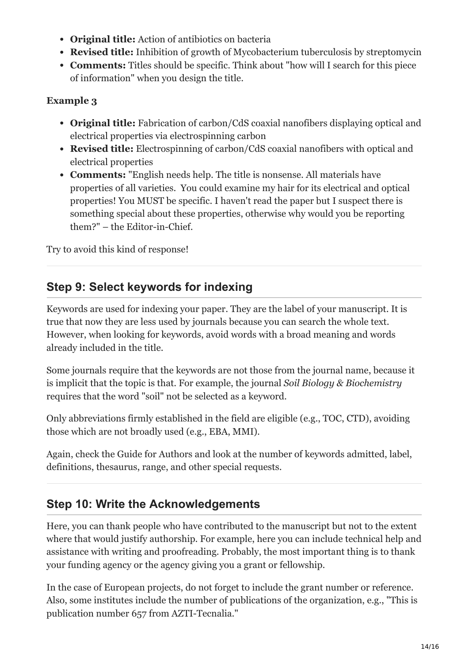- **Original title:** Action of antibiotics on bacteria
- **Revised title:** Inhibition of growth of Mycobacterium tuberculosis by streptomycin
- **Comments:** Titles should be specific. Think about "how will I search for this piece of information" when you design the title.

### **Example 3**

- **Original title:** Fabrication of carbon/CdS coaxial nanofibers displaying optical and electrical properties via electrospinning carbon
- **Revised title:** Electrospinning of carbon/CdS coaxial nanofibers with optical and electrical properties
- **Comments:** "English needs help. The title is nonsense. All materials have properties of all varieties. You could examine my hair for its electrical and optical properties! You MUST be specific. I haven't read the paper but I suspect there is something special about these properties, otherwise why would you be reporting them?" – the Editor-in-Chief.

Try to avoid this kind of response!

# <span id="page-13-0"></span>**Step 9: Select keywords for indexing**

Keywords are used for indexing your paper. They are the label of your manuscript. It is true that now they are less used by journals because you can search the whole text. However, when looking for keywords, avoid words with a broad meaning and words already included in the title.

Some journals require that the keywords are not those from the journal name, because it is implicit that the topic is that. For example, the journal *Soil Biology & Biochemistry* requires that the word "soil" not be selected as a keyword.

Only abbreviations firmly established in the field are eligible (e.g., TOC, CTD), avoiding those which are not broadly used (e.g., EBA, MMI).

Again, check the Guide for Authors and look at the number of keywords admitted, label, definitions, thesaurus, range, and other special requests.

## <span id="page-13-1"></span>**Step 10: Write the Acknowledgements**

Here, you can thank people who have contributed to the manuscript but not to the extent where that would justify authorship. For example, here you can include technical help and assistance with writing and proofreading. Probably, the most important thing is to thank your funding agency or the agency giving you a grant or fellowship.

In the case of European projects, do not forget to include the grant number or reference. Also, some institutes include the number of publications of the organization, e.g., "This is publication number 657 from AZTI-Tecnalia."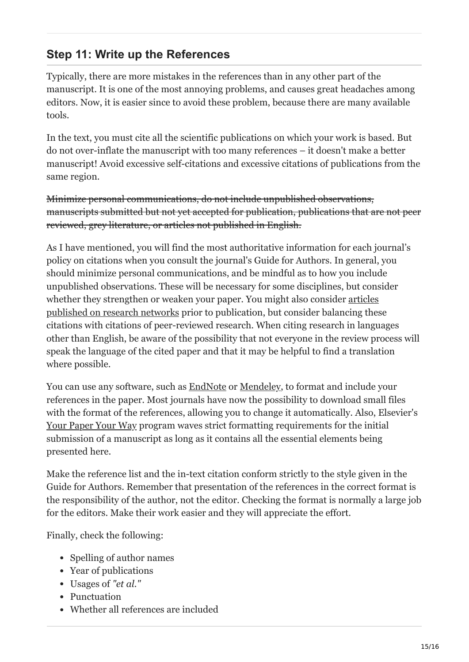# <span id="page-14-0"></span>**Step 11: Write up the References**

Typically, there are more mistakes in the references than in any other part of the manuscript. It is one of the most annoying problems, and causes great headaches among editors. Now, it is easier since to avoid these problem, because there are many available tools.

In the text, you must cite all the scientific publications on which your work is based. But do not over-inflate the manuscript with too many references – it doesn't make a better manuscript! Avoid excessive self-citations and excessive citations of publications from the same region.

Minimize personal communications, do not include unpublished observations, manuscripts submitted but not yet accepted for publication, publications that are not peer reviewed, grey literature, or articles not published in English.

As I have mentioned, you will find the most authoritative information for each journal's policy on citations when you consult the journal's Guide for Authors. In general, you should minimize personal communications, and be mindful as to how you include unpublished observations. These will be necessary for some disciplines, but consider whether they strengthen or weaken your paper. You might also consider articles [published on research networks prior to publication, but consider balancing thes](https://www.ssrn.com/index.cfm/en)e citations with citations of peer-reviewed research. When citing research in languages other than English, be aware of the possibility that not everyone in the review process will speak the language of the cited paper and that it may be helpful to find a translation where possible.

You can use any software, such as **[EndNote](http://endnote.com/)** or **[Mendeley](http://mendeley.com/)**, to format and include your references in the paper. Most journals have now the possibility to download small files with the format of the references, allowing you to change it automatically. Also, Elsevier's [Your Paper Your Way](https://www.elsevier.com/authors/tools-and-resources/your-paper-your-way) program waves strict formatting requirements for the initial submission of a manuscript as long as it contains all the essential elements being presented here.

Make the reference list and the in-text citation conform strictly to the style given in the Guide for Authors. Remember that presentation of the references in the correct format is the responsibility of the author, not the editor. Checking the format is normally a large job for the editors. Make their work easier and they will appreciate the effort.

Finally, check the following:

- Spelling of author names
- Year of publications
- Usages of *"et al."*
- Punctuation
- Whether all references are included